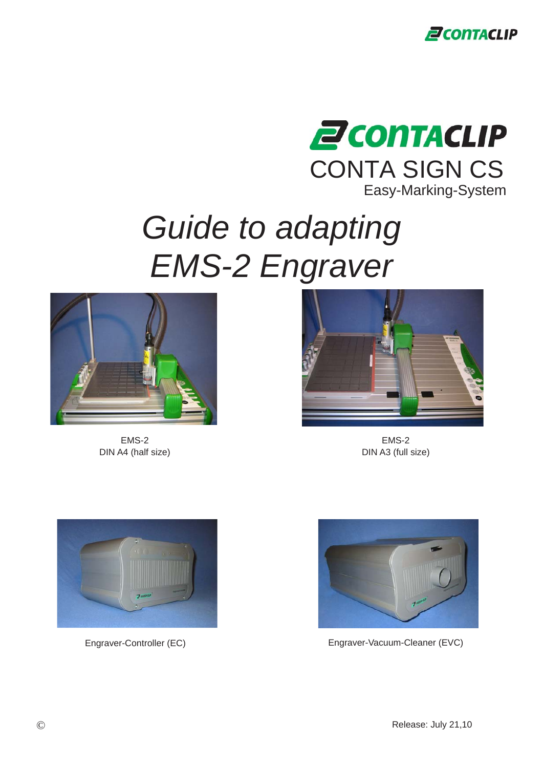



# *Guide to adapting EMS-2 Engraver*



EMS-2 DIN A4 (half size)



EMS-2 DIN A3 (full size)





Engraver-Controller (EC) engraver-Vacuum-Cleaner (EVC)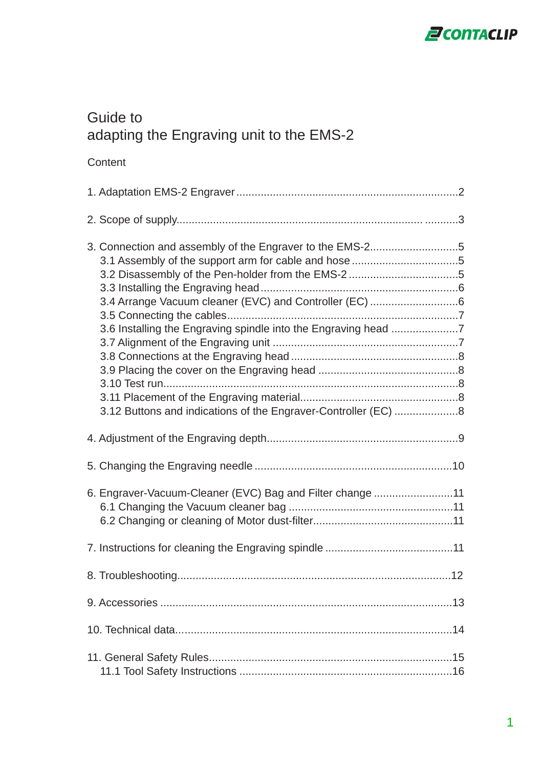

### Guide to adapting the Engraving unit to the EMS-2

| 3.2 Disassembly of the Pen-holder from the EMS-2 5<br>3.12 Buttons and indications of the Engraver-Controller (EC) 8 |
|----------------------------------------------------------------------------------------------------------------------|
|                                                                                                                      |
|                                                                                                                      |
| 6. Engraver-Vacuum-Cleaner (EVC) Bag and Filter change 11                                                            |
|                                                                                                                      |
|                                                                                                                      |
|                                                                                                                      |
|                                                                                                                      |
|                                                                                                                      |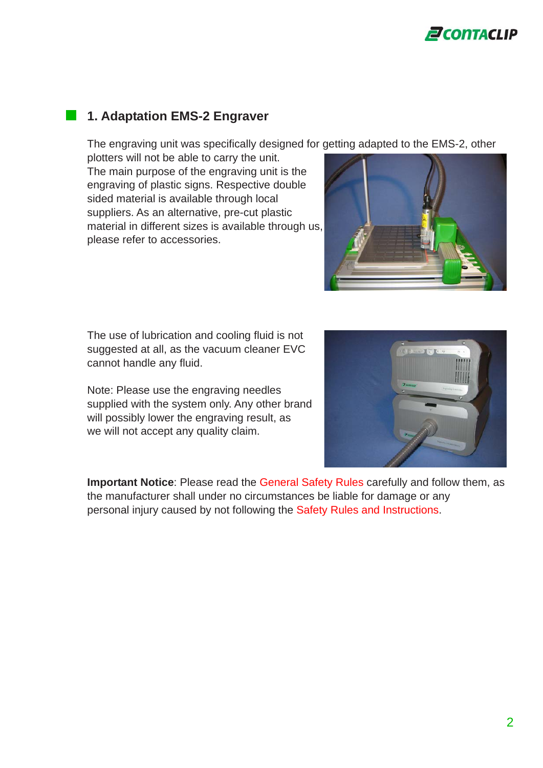

#### **1. Adaptation EMS-2 Engraver**

The engraving unit was specifically designed for getting adapted to the EMS-2, other

plotters will not be able to carry the unit. The main purpose of the engraving unit is the engraving of plastic signs. Respective double sided material is available through local suppliers. As an alternative, pre-cut plastic material in different sizes is available through us, please refer to accessories.



The use of lubrication and cooling fluid is not suggested at all, as the vacuum cleaner EVC cannot handle any fluid.

Note: Please use the engraving needles supplied with the system only. Any other brand will possibly lower the engraving result, as we will not accept any quality claim.



**Important Notice**: Please read the General Safety Rules carefully and follow them, as the manufacturer shall under no circumstances be liable for damage or any personal injury caused by not following the Safety Rules and Instructions.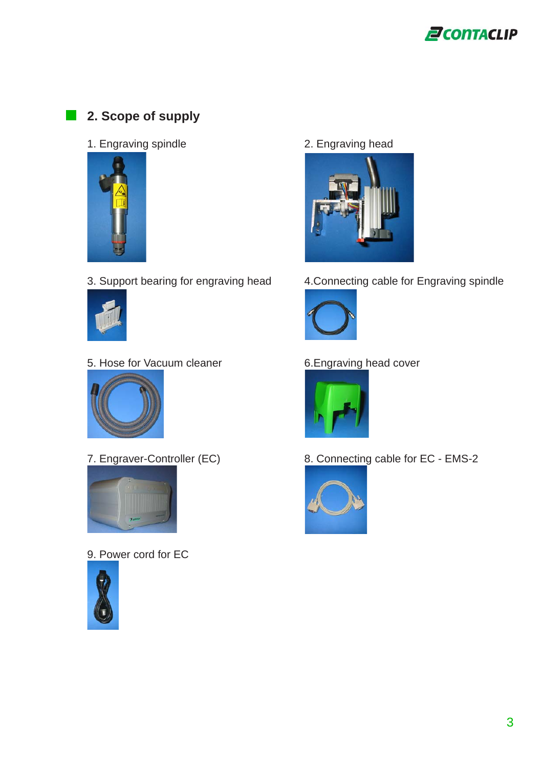

#### **2. Scope of supply**

1. Engraving spindle 2. Engraving head





5. Hose for Vacuum cleaner 6.Engraving head cover





9. Power cord for EC





3. Support bearing for engraving head 4.Connecting cable for Engraving spindle





7. Engraver-Controller (EC) 8. Connecting cable for EC - EMS-2

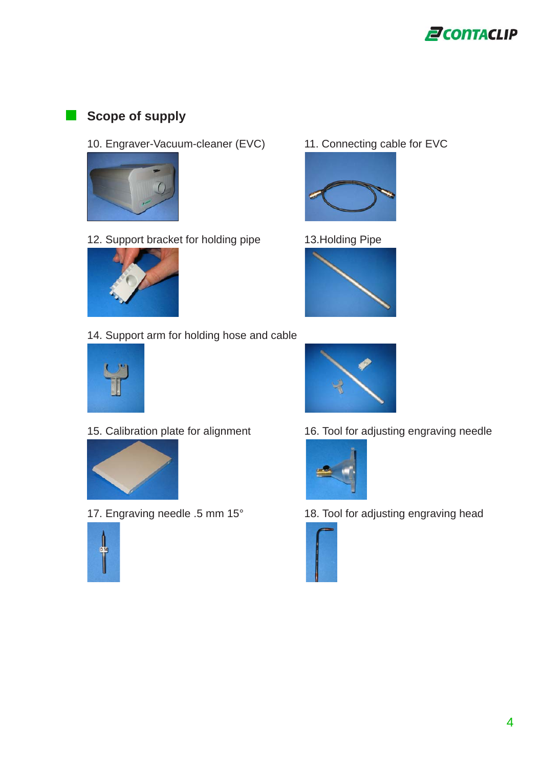

#### **Scope of supply**

10. Engraver-Vacuum-cleaner (EVC) 11. Connecting cable for EVC



12. Support bracket for holding pipe 13.Holding Pipe



14. Support arm for holding hose and cable













15. Calibration plate for alignment 16. Tool for adjusting engraving needle



17. Engraving needle .5 mm 15° 18. Tool for adjusting engraving head

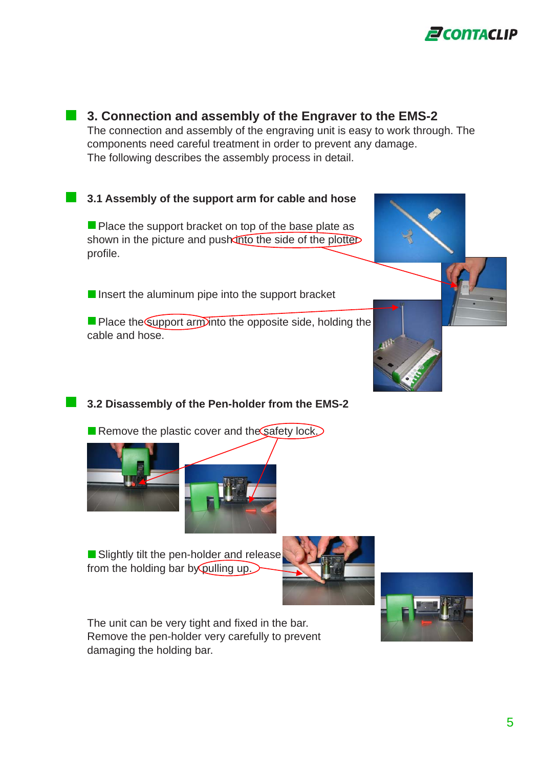



#### **3.2 Disassembly of the Pen-holder from the EMS-2**

Remove the plastic cover and the safety lock.



Slightly tilt the pen-holder and release from the holding bar by pulling up.



The unit can be very tight and fixed in the bar. Remove the pen-holder very carefully to prevent damaging the holding bar.

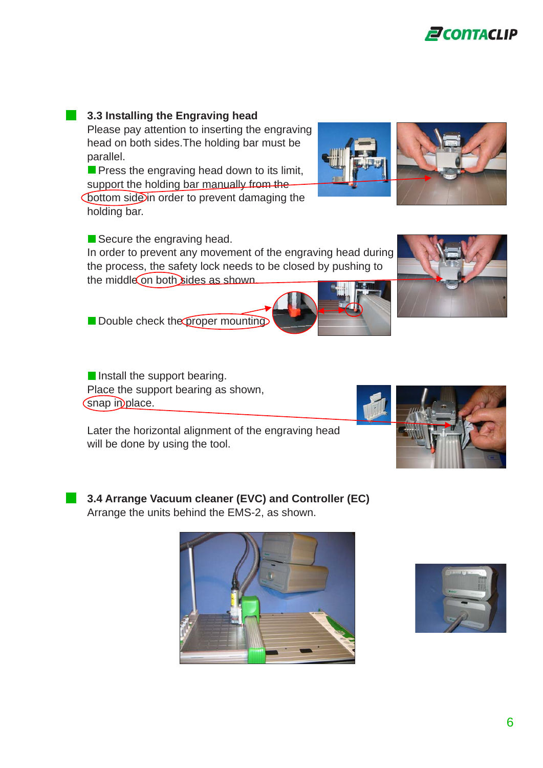**1** 3.3 Installing the Engraving head

Please pay attention to inserting the engraving head on both sides.The holding bar must be parallel.

 $\blacksquare$  Press the engraving head down to its limit, support the holding bar manually from the **Cottom side in order to prevent damaging the** holding bar.

In order to prevent any movement of the engraving head during the process, the safety lock needs to be closed by pushing to the middle on both sides as shown.

Double check the proper mounting.

Install the support bearing. Place the support bearing as shown, Snap in place.

Later the horizontal alignment of the engraving head will be done by using the tool.

**3.4 Arrange Vacuum cleaner (EVC) and Controller (EC)** Arrange the units behind the EMS-2, as shown.

Secure the engraving head.









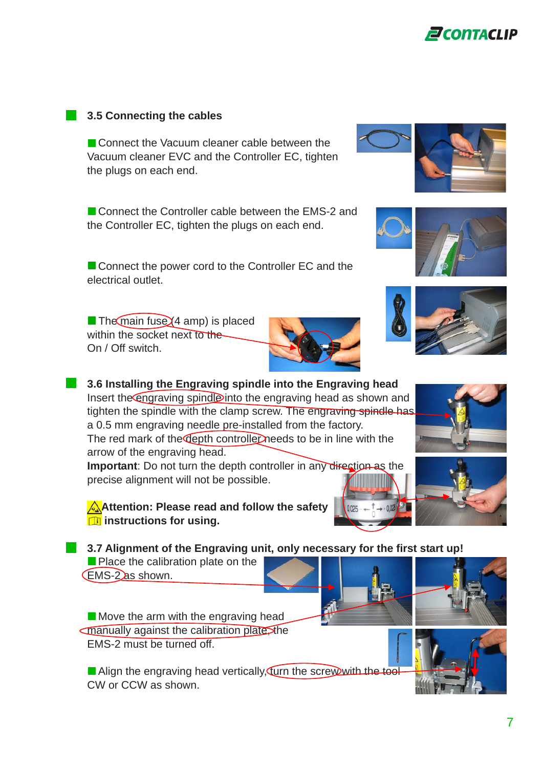#### **1** 3.5 Connecting the cables

Connect the Vacuum cleaner cable between the Vacuum cleaner EVC and the Controller EC, tighten the plugs on each end.

■ Connect the Controller cable between the EMS-2 and the Controller EC, tighten the plugs on each end.

Connect the power cord to the Controller EC and the electrical outlet.

 $\blacksquare$  The main fuse  $(4 \text{ amp})$  is placed within the socket next to the On / Off switch.

**1** 3.6 Installing the Engraving spindle into the Engraving head Insert the engraving spindle into the engraving head as shown and tighten the spindle with the clamp screw. The engraving spindle has a 0.5 mm engraving needle pre-installed from the factory. The red mark of the depth controller needs to be in line with the arrow of the engraving head.

**Important**: Do not turn the depth controller in any direction as the precise alignment will not be possible.

**Attention: Please read and follow the safety** *<u><b>il*</del> instructions for using.</u>

**13.7 Alignment of the Engraving unit, only necessary for the first start up!** 

Place the calibration plate on the EMS-2 as shown.

 $\blacksquare$  Move the arm with the engraving head  $\sqrt{2}$  manually against the calibration plate the EMS-2 must be turned off.

Align the engraving head vertically, furn the screw with the tool CW or CCW as shown.

















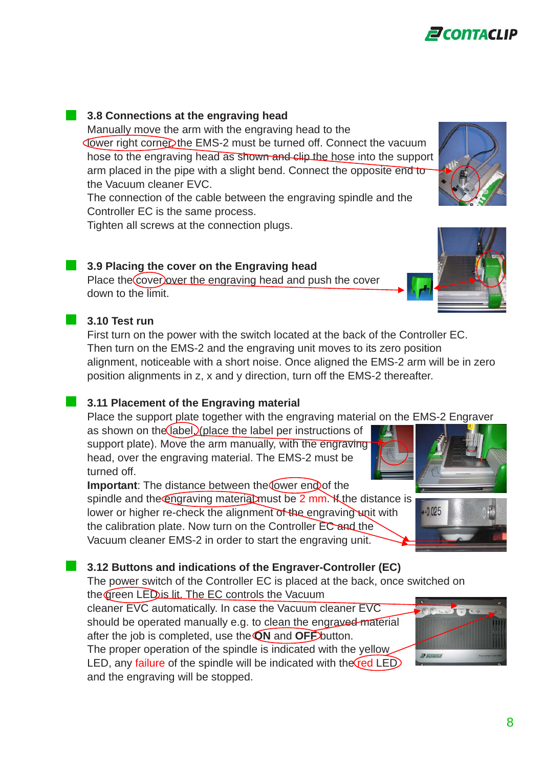#### **3.8 Connections at the engraving head**

Manually move the arm with the engraving head to the Lower right corner the EMS-2 must be turned off. Connect the vacuum hose to the engraving head as shown and clip the hose into the support arm placed in the pipe with a slight bend. Connect the opposite end to the Vacuum cleaner EVC.

The connection of the cable between the engraving spindle and the Controller EC is the same process.

Tighten all screws at the connection plugs.

#### **1** 3.9 Placing the cover on the Engraving head

Place the cover lover the engraving head and push the cover down to the limit.

#### **3.10 Test run**

First turn on the power with the switch located at the back of the Controller EC. Then turn on the EMS-2 and the engraving unit moves to its zero position alignment, noticeable with a short noise. Once aligned the EMS-2 arm will be in zero position alignments in z, x and y direction, turn off the EMS-2 thereafter.

#### **1** 3.11 Placement of the Engraving material

Place the support plate together with the engraving material on the EMS-2 Engraver as shown on the  $\Delta$  (place the label per instructions of

support plate). Move the arm manually, with the engraving head, over the engraving material. The EMS-2 must be turned off.

**Important:** The distance between the lower end of the spindle and the engraving material must be 2 mm. K the distance is lower or higher re-check the alignment of the engraving unit with the calibration plate. Now turn on the Controller EC and the Vacuum cleaner EMS-2 in order to start the engraving unit.

#### **13.12 Buttons and indications of the Engraver-Controller (EC)**

The power switch of the Controller EC is placed at the back, once switched on the green LED is lit. The EC controls the Vacuum

cleaner EVC automatically. In case the Vacuum cleaner EVC should be operated manually e.g. to clean the engraved material after the job is completed, use the **ON** and **OFF** button.

The proper operation of the spindle is indicated with the yellow LED, any failure of the spindle will be indicated with the  $(red$  LED and the engraving will be stopped.











 $+0.025$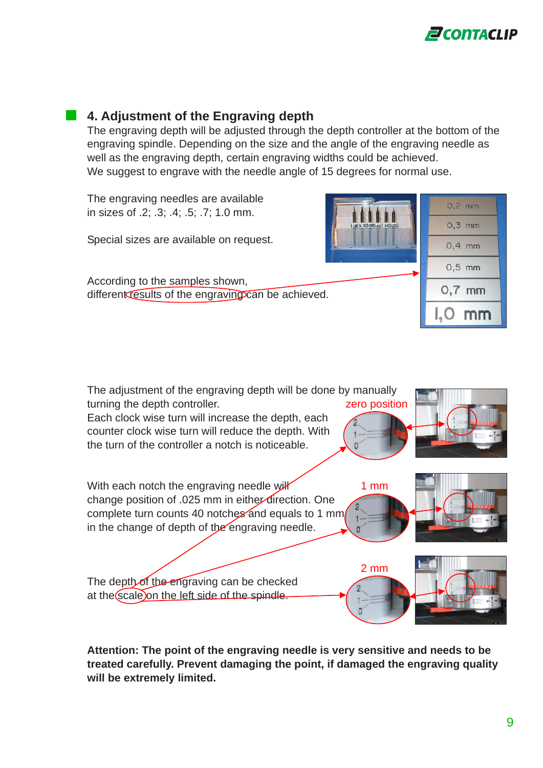

#### **4. Adjustment of the Engraving depth**

The engraving depth will be adjusted through the depth controller at the bottom of the engraving spindle. Depending on the size and the angle of the engraving needle as well as the engraving depth, certain engraving widths could be achieved. We suggest to engrave with the needle angle of 15 degrees for normal use.

The engraving needles are available in sizes of .2; .3; .4; .5; .7; 1.0 mm.

Special sizes are available on request.

According to the samples shown, different results of the engraving can be achieved.





**Attention: The point of the engraving needle is very sensitive and needs to be treated carefully. Prevent damaging the point, if damaged the engraving quality will be extremely limited.**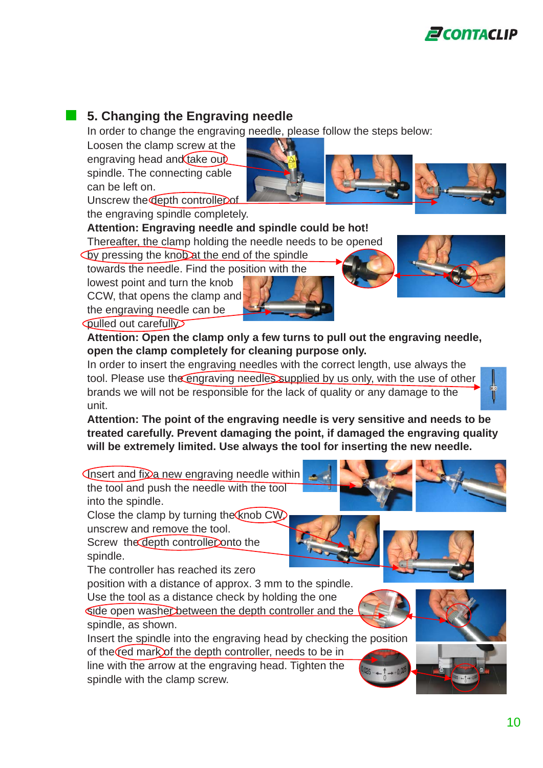

#### **5. Changing the Engraving needle**

In order to change the engraving needle, please follow the steps below:

Loosen the clamp screw at the engraving head and  $\frac{d}{dx}$ spindle. The connecting cable can be left on. Unscrew the depth controller of



the engraving spindle completely.

#### **Attention: Engraving needle and spindle could be hot!**

Thereafter, the clamp holding the needle needs to be opened

by pressing the knob at the end of the spindle

towards the needle. Find the position with the

lowest point and turn the knob CCW, that opens the clamp and the engraving needle can be



**Quiled out carefully** 

**Attention: Open the clamp only a few turns to pull out the engraving needle, open the clamp completely for cleaning purpose only.**

In order to insert the engraving needles with the correct length, use always the tool. Please use the engraving needles supplied by us only, with the use of other brands we will not be responsible for the lack of quality or any damage to the unit.

**Attention: The point of the engraving needle is very sensitive and needs to be treated carefully. Prevent damaging the point, if damaged the engraving quality will be extremely limited. Use always the tool for inserting the new needle.**

 $\sqrt{\frac{1}{1}}$  and fix a new engraving needle within the tool and push the needle with the tool

into the spindle.

Close the clamp by turning the  $km$ unscrew and remove the tool.

Screw the depth controller onto the spindle.

The controller has reached its zero

position with a distance of approx. 3 mm to the spindle. Use the tool as a distance check by holding the one side open washer between the depth controller and the

spindle, as shown.

Insert the spindle into the engraving head by checking the position of the  $\text{red}$  mark of the depth controller, needs to be in line with the arrow at the engraving head. Tighten the spindle with the clamp screw.







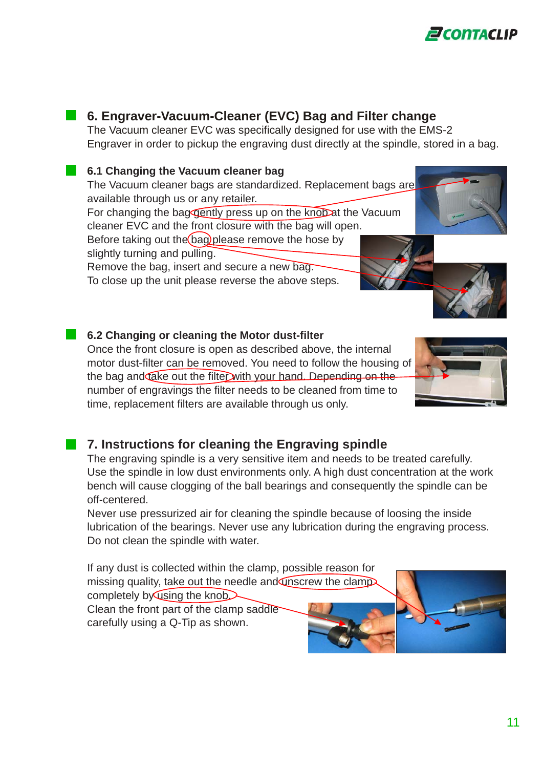

#### **6. Engraver-Vacuum-Cleaner (EVC) Bag and Filter change**

The Vacuum cleaner EVC was specifically designed for use with the EMS-2 Engraver in order to pickup the engraving dust directly at the spindle, stored in a bag.

#### **6.1 Changing the Vacuum cleaner bag**

The Vacuum cleaner bags are standardized. Replacement bags are available through us or any retailer. For changing the bag gently press up on the knobat the Vacuum

cleaner EVC and the front closure with the bag will open. Before taking out the bag please remove the hose by

slightly turning and pulling.

Remove the bag, insert and secure a new bag.

To close up the unit please reverse the above steps.

#### **6.2 Changing or cleaning the Motor dust-filter**

Once the front closure is open as described above, the internal motor dust-filter can be removed. You need to follow the housing of the bag and take out the filter with your hand. Depending on the number of engravings the filter needs to be cleaned from time to time, replacement filters are available through us only.

## **7. Instructions for cleaning the Engraving spindle**

The engraving spindle is a very sensitive item and needs to be treated carefully. Use the spindle in low dust environments only. A high dust concentration at the work bench will cause clogging of the ball bearings and consequently the spindle can be off-centered.

Never use pressurized air for cleaning the spindle because of loosing the inside lubrication of the bearings. Never use any lubrication during the engraving process. Do not clean the spindle with water.

If any dust is collected within the clamp, possible reason for missing quality, take out the needle and unscrew the clamp completely by using the knob $\blacktriangleright$ Clean the front part of the clamp saddle carefully using a Q-Tip as shown.

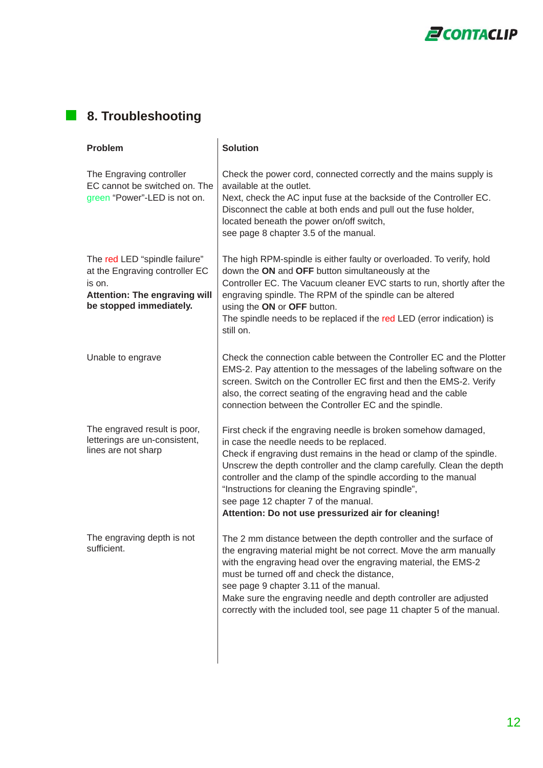

### **8. Troubleshooting**

| Problem                                                                                                                                      | <b>Solution</b>                                                                                                                                                                                                                                                                                                                                                                                                                                                                     |  |  |
|----------------------------------------------------------------------------------------------------------------------------------------------|-------------------------------------------------------------------------------------------------------------------------------------------------------------------------------------------------------------------------------------------------------------------------------------------------------------------------------------------------------------------------------------------------------------------------------------------------------------------------------------|--|--|
| The Engraving controller<br>EC cannot be switched on. The<br>green "Power"-LED is not on.                                                    | Check the power cord, connected correctly and the mains supply is<br>available at the outlet.<br>Next, check the AC input fuse at the backside of the Controller EC.<br>Disconnect the cable at both ends and pull out the fuse holder,<br>located beneath the power on/off switch,<br>see page 8 chapter 3.5 of the manual.                                                                                                                                                        |  |  |
| The red LED "spindle failure"<br>at the Engraving controller EC<br>is on.<br><b>Attention: The engraving will</b><br>be stopped immediately. | The high RPM-spindle is either faulty or overloaded. To verify, hold<br>down the ON and OFF button simultaneously at the<br>Controller EC. The Vacuum cleaner EVC starts to run, shortly after the<br>engraving spindle. The RPM of the spindle can be altered<br>using the ON or OFF button.<br>The spindle needs to be replaced if the red LED (error indication) is<br>still on.                                                                                                 |  |  |
| Unable to engrave                                                                                                                            | Check the connection cable between the Controller EC and the Plotter<br>EMS-2. Pay attention to the messages of the labeling software on the<br>screen. Switch on the Controller EC first and then the EMS-2. Verify<br>also, the correct seating of the engraving head and the cable<br>connection between the Controller EC and the spindle.                                                                                                                                      |  |  |
| The engraved result is poor,<br>letterings are un-consistent,<br>lines are not sharp                                                         | First check if the engraving needle is broken somehow damaged,<br>in case the needle needs to be replaced.<br>Check if engraving dust remains in the head or clamp of the spindle.<br>Unscrew the depth controller and the clamp carefully. Clean the depth<br>controller and the clamp of the spindle according to the manual<br>"Instructions for cleaning the Engraving spindle",<br>see page 12 chapter 7 of the manual.<br>Attention: Do not use pressurized air for cleaning! |  |  |
| The engraving depth is not<br>sufficient.                                                                                                    | The 2 mm distance between the depth controller and the surface of<br>the engraving material might be not correct. Move the arm manually<br>with the engraving head over the engraving material, the EMS-2<br>must be turned off and check the distance,<br>see page 9 chapter 3.11 of the manual.<br>Make sure the engraving needle and depth controller are adjusted<br>correctly with the included tool, see page 11 chapter 5 of the manual.                                     |  |  |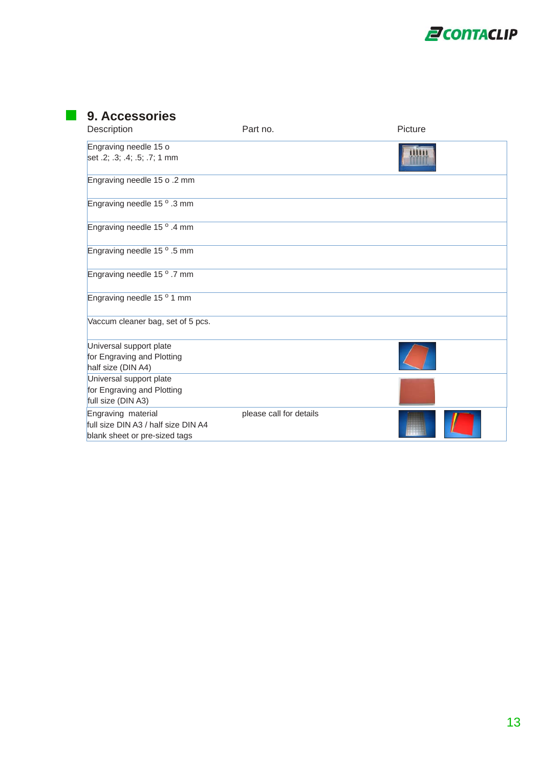

| Description                                                                                | Part no.                | Picture |
|--------------------------------------------------------------------------------------------|-------------------------|---------|
| Engraving needle 15 o<br>set .2; .3; .4; .5; .7; 1 mm                                      |                         |         |
| Engraving needle 15 o .2 mm                                                                |                         |         |
| Engraving needle 15 <sup>o</sup> .3 mm                                                     |                         |         |
| Engraving needle 15 <sup>o</sup> .4 mm                                                     |                         |         |
| Engraving needle 15 <sup>o</sup> .5 mm                                                     |                         |         |
| Engraving needle 15 <sup>o</sup> .7 mm                                                     |                         |         |
| Engraving needle 15 <sup>o</sup> 1 mm                                                      |                         |         |
| Vaccum cleaner bag, set of 5 pcs.                                                          |                         |         |
| Universal support plate<br>for Engraving and Plotting<br>half size (DIN A4)                |                         |         |
| Universal support plate<br>for Engraving and Plotting<br>full size (DIN A3)                |                         |         |
| Engraving material<br>full size DIN A3 / half size DIN A4<br>blank sheet or pre-sized tags | please call for details |         |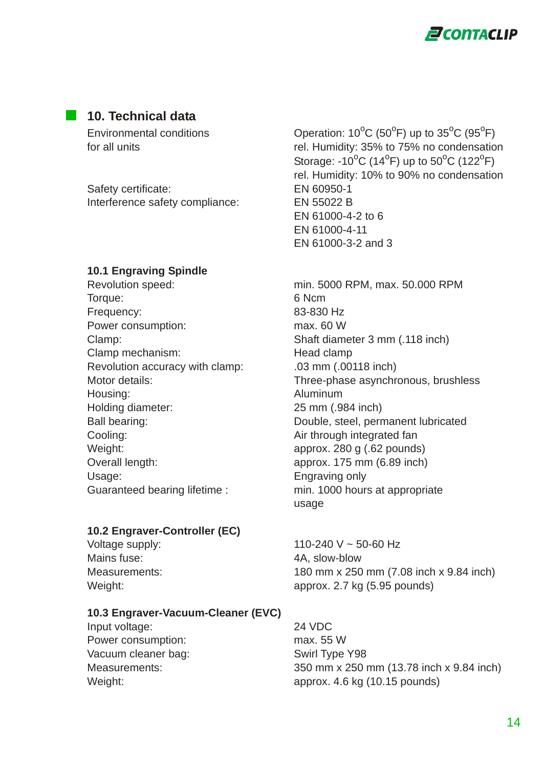

#### **10. Technical data**

Environmental conditions

Safety certificate: EN 60950-1 Interference safety compliance: EN 55022 B

#### **10.1 Engraving Spindle**

Torque: 6 Ncm Frequency: 83-830 Hz Power consumption: max. 60 W Clamp mechanism: Head clamp Revolution accuracy with clamp: .03 mm (.00118 inch) Housing: Aluminum Holding diameter: 25 mm (.984 inch) Cooling: Cooling: Cooling: Cooling: Cooling: Cooling: Cooling: Cooling: Cooling: Cooling: Cooling: Cooling: Cooling: Cooling: Cooling: Cooling: Cooling: Cooling: Cooling: Cooling: Cooling: Cooling: Cooling: Cooling: Coolin Weight: approx. 280 g (.62 pounds) Overall length: approx. 175 mm (6.89 inch) Usage: Engraving only Guaranteed bearing lifetime : min. 1000 hours at appropriate

#### **10.2 Engraver-Controller (EC)**

Mains fuse: 4A, slow-blow

#### **10.3 Engraver-Vacuum-Cleaner (EVC)**

Input voltage: 24 VDC Power consumption: max. 55 W Vacuum cleaner bag: Swirl Type Y98

 $C$  (50<sup>o</sup>F) up to 35<sup>o</sup>C (95<sup>o</sup>F) for all units rel. Humidity: 35% to 75% no condensation Storage: -10<sup>o</sup>C (14<sup>o</sup>F) up to 50<sup>o</sup>C (122<sup>o</sup>F) rel. Humidity: 10% to 90% no condensation EN 61000-4-2 to 6 EN 61000-4-11 EN 61000-3-2 and 3

Revolution speed: min. 5000 RPM, max. 50.000 RPM Clamp: Shaft diameter 3 mm (.118 inch) Motor details: Three-phase asynchronous, brushless Ball bearing: Double, steel, permanent lubricated usage

Voltage supply: 110-240 V ~ 50-60 Hz Measurements: 180 mm x 250 mm (7.08 inch x 9.84 inch) Weight: Weight:  $\blacksquare$  approx. 2.7 kg (5.95 pounds)

Measurements: 350 mm x 250 mm (13.78 inch x 9.84 inch) Weight: approx. 4.6 kg (10.15 pounds)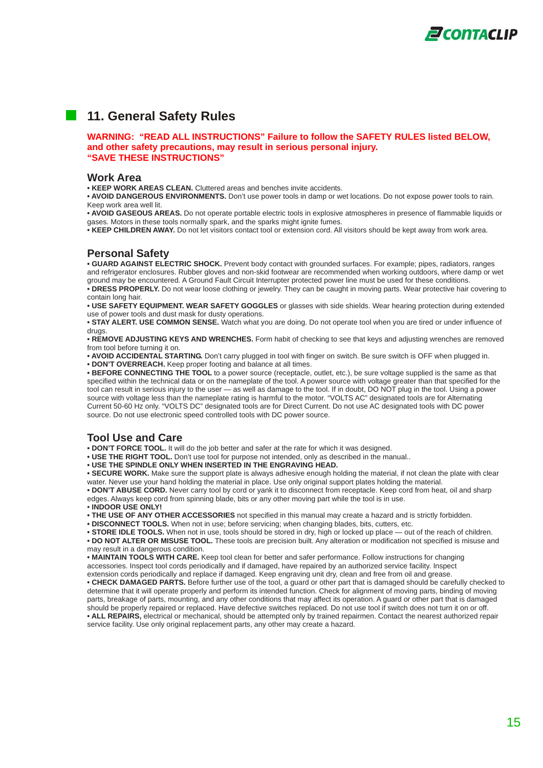

#### **11. General Safety Rules**

**WARNING: "READ ALL INSTRUCTIONS" Failure to follow the SAFETY RULES listed BELOW, and other safety precautions, may result in serious personal injury. "SAVE THESE INSTRUCTIONS"**

#### **Work Area**

**• KEEP WORK AREAS CLEAN.** Cluttered areas and benches invite accidents.

**• AVOID DANGEROUS ENVIRONMENTS.** Don't use power tools in damp or wet locations. Do not expose power tools to rain. Keep work area well lit.

**• AVOID GASEOUS AREAS.** Do not operate portable electric tools in explosive atmospheres in presence of flammable liquids or gases. Motors in these tools normally spark, and the sparks might ignite fumes.

**• KEEP CHILDREN AWAY.** Do not let visitors contact tool or extension cord. All visitors should be kept away from work area.

#### **Personal Safety**

**• GUARD AGAINST ELECTRIC SHOCK.** Prevent body contact with grounded surfaces. For example; pipes, radiators, ranges and refrigerator enclosures. Rubber gloves and non-skid footwear are recommended when working outdoors, where damp or wet ground may be encountered. A Ground Fault Circuit Interrupter protected power line must be used for these conditions.

**• DRESS PROPERLY.** Do not wear loose clothing or jewelry. They can be caught in moving parts. Wear protective hair covering to contain long hair.

**• USE SAFETY EQUIPMENT. WEAR SAFETY GOGGLES** or glasses with side shields. Wear hearing protection during extended use of power tools and dust mask for dusty operations.

**• STAY ALERT. USE COMMON SENSE.** Watch what you are doing. Do not operate tool when you are tired or under influence of drugs

**• REMOVE ADJUSTING KEYS AND WRENCHES.** Form habit of checking to see that keys and adjusting wrenches are removed from tool before turning it on.

**• AVOID ACCIDENTAL STARTING.** Don't carry plugged in tool with finger on switch. Be sure switch is OFF when plugged in. **• DON'T OVERREACH.** Keep proper footing and balance at all times.

**• BEFORE CONNECTING THE TOOL** to a power source (receptacle, outlet, etc.), be sure voltage supplied is the same as that specified within the technical data or on the nameplate of the tool. A power source with voltage greater than that specified for the tool can result in serious injury to the user — as well as damage to the tool. If in doubt, DO NOT plug in the tool. Using a power source with voltage less than the nameplate rating is harmful to the motor. "VOLTS AC" designated tools are for Alternating Current 50-60 Hz only. "VOLTS DC" designated tools are for Direct Current. Do not use AC designated tools with DC power source. Do not use electronic speed controlled tools with DC power source.

#### **Tool Use and Care**

**• DON'T FORCE TOOL.** It will do the job better and safer at the rate for which it was designed.

**• USE THE RIGHT TOOL.** Don't use tool for purpose not intended, only as described in the manual..

**• USE THE SPINDLE ONLY WHEN INSERTED IN THE ENGRAVING HEAD.**

**• SECURE WORK.** Make sure the support plate is always adhesive enough holding the material, if not clean the plate with clear water. Never use your hand holding the material in place. Use only original support plates holding the material.

**• DON'T ABUSE CORD.** Never carry tool by cord or yank it to disconnect from receptacle. Keep cord from heat, oil and sharp edges. Always keep cord from spinning blade, bits or any other moving part while the tool is in use.

• **INDOOR USE ONLY!**

**• THE USE OF ANY OTHER ACCESSORIES** not specified in this manual may create a hazard and is strictly forbidden.

**• DISCONNECT TOOLS.** When not in use; before servicing; when changing blades, bits, cutters, etc.

**• STORE IDLE TOOLS.** When not in use, tools should be stored in dry, high or locked up place — out of the reach of children. **• DO NOT ALTER OR MISUSE TOOL.** These tools are precision built. Any alteration or modification not specified is misuse and may result in a dangerous condition.

**• MAINTAIN TOOLS WITH CARE.** Keep tool clean for better and safer performance. Follow instructions for changing accessories. Inspect tool cords periodically and if damaged, have repaired by an authorized service facility. Inspect extension cords periodically and replace if damaged. Keep engraving unit dry, clean and free from oil and grease.

**• CHECK DAMAGED PARTS.** Before further use of the tool, a guard or other part that is damaged should be carefully checked to determine that it will operate properly and perform its intended function. Check for alignment of moving parts, binding of moving parts, breakage of parts, mounting, and any other conditions that may affect its operation. A guard or other part that is damaged should be properly repaired or replaced. Have defective switches replaced. Do not use tool if switch does not turn it on or off. **• ALL REPAIRS,** electrical or mechanical, should be attempted only by trained repairmen. Contact the nearest authorized repair service facility. Use only original replacement parts, any other may create a hazard.